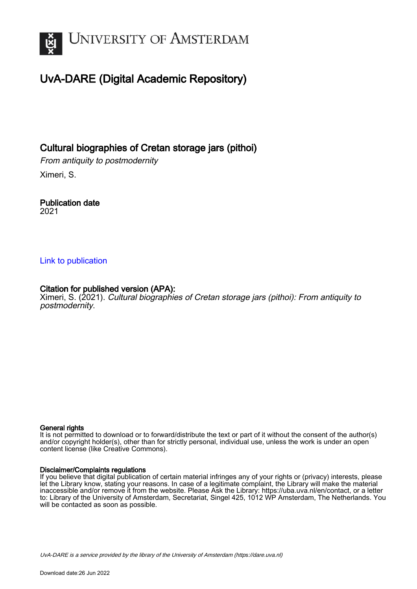

# UvA-DARE (Digital Academic Repository)

Cultural biographies of Cretan storage jars (pithoi)

From antiquity to postmodernity Ximeri, S.

Publication date 2021

### [Link to publication](https://dare.uva.nl/personal/pure/en/publications/cultural-biographies-of-cretan-storage-jars-pithoi(44754170-e259-4627-aeee-893583cda9a0).html)

## Citation for published version (APA):

Ximeri, S. (2021). Cultural biographies of Cretan storage jars (pithoi): From antiquity to postmodernity.

#### General rights

It is not permitted to download or to forward/distribute the text or part of it without the consent of the author(s) and/or copyright holder(s), other than for strictly personal, individual use, unless the work is under an open content license (like Creative Commons).

#### Disclaimer/Complaints regulations

If you believe that digital publication of certain material infringes any of your rights or (privacy) interests, please let the Library know, stating your reasons. In case of a legitimate complaint, the Library will make the material inaccessible and/or remove it from the website. Please Ask the Library: https://uba.uva.nl/en/contact, or a letter to: Library of the University of Amsterdam, Secretariat, Singel 425, 1012 WP Amsterdam, The Netherlands. You will be contacted as soon as possible.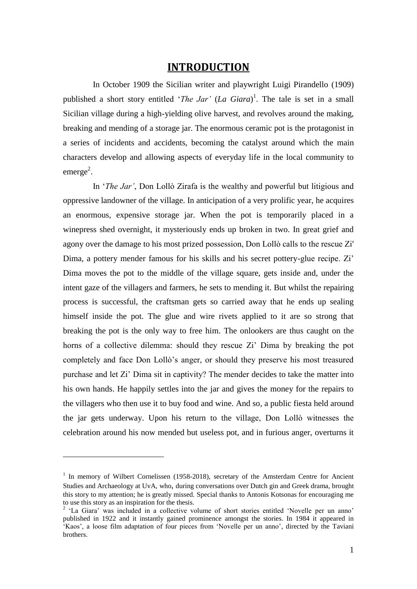## **INTRODUCTION**

In October 1909 the Sicilian writer and playwright Luigi Pirandello (1909) published a short story entitled '*The Jar'* (*La Giara*) 1 . The tale is set in a small Sicilian village during a high-yielding olive harvest, and revolves around the making, breaking and mending of a storage jar. The enormous ceramic pot is the protagonist in a series of incidents and accidents, becoming the catalyst around which the main characters develop and allowing aspects of everyday life in the local community to emerge<sup>2</sup>.

In '*The Jar'*, Don Lollò Zirafa is the wealthy and powerful but litigious and oppressive landowner of the village. In anticipation of a very prolific year, he acquires an enormous, expensive storage jar. When the pot is temporarily placed in a winepress shed overnight, it mysteriously ends up broken in two. In great grief and agony over the damage to his most prized possession, Don Lollò calls to the rescue Zi' Dima, a pottery mender famous for his skills and his secret pottery-glue recipe. Zi' Dima moves the pot to the middle of the village square, gets inside and, under the intent gaze of the villagers and farmers, he sets to mending it. But whilst the repairing process is successful, the craftsman gets so carried away that he ends up sealing himself inside the pot. The glue and wire rivets applied to it are so strong that breaking the pot is the only way to free him. The onlookers are thus caught on the horns of a collective dilemma: should they rescue Zi' Dima by breaking the pot completely and face Don Lollò's anger, or should they preserve his most treasured purchase and let Zi' Dima sit in captivity? The mender decides to take the matter into his own hands. He happily settles into the jar and gives the money for the repairs to the villagers who then use it to buy food and wine. And so, a public fiesta held around the jar gets underway. Upon his return to the village, Don Lollò witnesses the celebration around his now mended but useless pot, and in furious anger, overturns it

<u>.</u>

<sup>&</sup>lt;sup>1</sup> In memory of Wilbert Cornelissen (1958-2018), secretary of the Amsterdam Centre for Ancient Studies and Archaeology at UvA, who, during conversations over Dutch gin and Greek drama, brought this story to my attention; he is greatly missed. Special thanks to Antonis Kotsonas for encouraging me to use this story as an inspiration for the thesis.

<sup>&</sup>lt;sup>2</sup> 'La Giara' was included in a collective volume of short stories entitled 'Novelle per un anno' published in 1922 and it instantly gained prominence amongst the stories. In 1984 it appeared in 'Kaos', a loose film adaptation of four pieces from 'Novelle per un anno', directed by the Taviani brothers.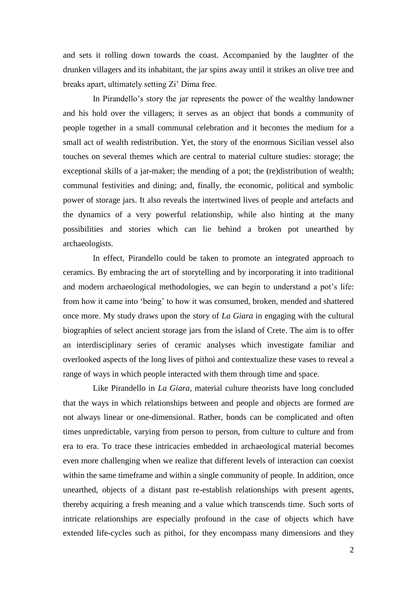and sets it rolling down towards the coast. Accompanied by the laughter of the drunken villagers and its inhabitant, the jar spins away until it strikes an olive tree and breaks apart, ultimately setting Zi' Dima free.

In Pirandello's story the jar represents the power of the wealthy landowner and his hold over the villagers; it serves as an object that bonds a community of people together in a small communal celebration and it becomes the medium for a small act of wealth redistribution. Yet, the story of the enormous Sicilian vessel also touches on several themes which are central to material culture studies: storage; the exceptional skills of a jar-maker; the mending of a pot; the (re)distribution of wealth; communal festivities and dining; and, finally, the economic, political and symbolic power of storage jars. It also reveals the intertwined lives of people and artefacts and the dynamics of a very powerful relationship, while also hinting at the many possibilities and stories which can lie behind a broken pot unearthed by archaeologists.

In effect, Pirandello could be taken to promote an integrated approach to ceramics. By embracing the art of storytelling and by incorporating it into traditional and modern archaeological methodologies, we can begin to understand a pot's life: from how it came into 'being' to how it was consumed, broken, mended and shattered once more. My study draws upon the story of *La Giara* in engaging with the cultural biographies of select ancient storage jars from the island of Crete. The aim is to offer an interdisciplinary series of ceramic analyses which investigate familiar and overlooked aspects of the long lives of pithoi and contextualize these vases to reveal a range of ways in which people interacted with them through time and space.

Like Pirandello in *La Giara*, material culture theorists have long concluded that the ways in which relationships between and people and objects are formed are not always linear or one-dimensional. Rather, bonds can be complicated and often times unpredictable, varying from person to person, from culture to culture and from era to era. To trace these intricacies embedded in archaeological material becomes even more challenging when we realize that different levels of interaction can coexist within the same timeframe and within a single community of people. In addition, once unearthed, objects of a distant past re-establish relationships with present agents, thereby acquiring a fresh meaning and a value which transcends time. Such sorts of intricate relationships are especially profound in the case of objects which have extended life-cycles such as pithoi, for they encompass many dimensions and they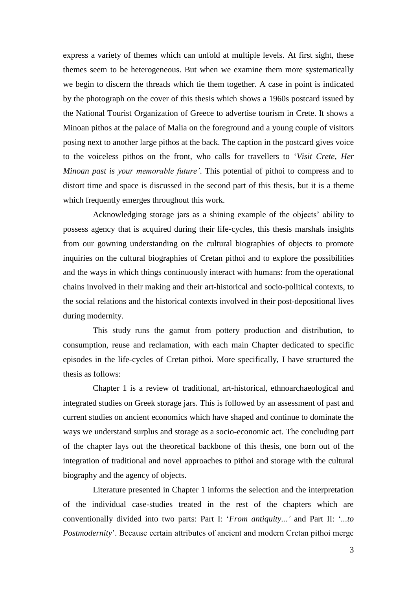express a variety of themes which can unfold at multiple levels. At first sight, these themes seem to be heterogeneous. But when we examine them more systematically we begin to discern the threads which tie them together. A case in point is indicated by the photograph on the cover of this thesis which shows a 1960s postcard issued by the National Tourist Organization of Greece to advertise tourism in Crete. It shows a Minoan pithos at the palace of Malia on the foreground and a young couple of visitors posing next to another large pithos at the back. The caption in the postcard gives voice to the voiceless pithos on the front, who calls for travellers to '*Visit Crete, Her Minoan past is your memorable future'*. This potential of pithoi to compress and to distort time and space is discussed in the second part of this thesis, but it is a theme which frequently emerges throughout this work.

Acknowledging storage jars as a shining example of the objects' ability to possess agency that is acquired during their life-cycles, this thesis marshals insights from our gowning understanding on the cultural biographies of objects to promote inquiries on the cultural biographies of Cretan pithoi and to explore the possibilities and the ways in which things continuously interact with humans: from the operational chains involved in their making and their art-historical and socio-political contexts, to the social relations and the historical contexts involved in their post-depositional lives during modernity.

This study runs the gamut from pottery production and distribution, to consumption, reuse and reclamation, with each main Chapter dedicated to specific episodes in the life-cycles of Cretan pithoi. More specifically, I have structured the thesis as follows:

Chapter 1 is a review of traditional, art-historical, ethnoarchaeological and integrated studies on Greek storage jars. This is followed by an assessment of past and current studies on ancient economics which have shaped and continue to dominate the ways we understand surplus and storage as a socio-economic act. The concluding part of the chapter lays out the theoretical backbone of this thesis, one born out of the integration of traditional and novel approaches to pithoi and storage with the cultural biography and the agency of objects.

Literature presented in Chapter 1 informs the selection and the interpretation of the individual case-studies treated in the rest of the chapters which are conventionally divided into two parts: Part I: '*From antiquity...'* and Part II: '*...to Postmodernity*'. Because certain attributes of ancient and modern Cretan pithoi merge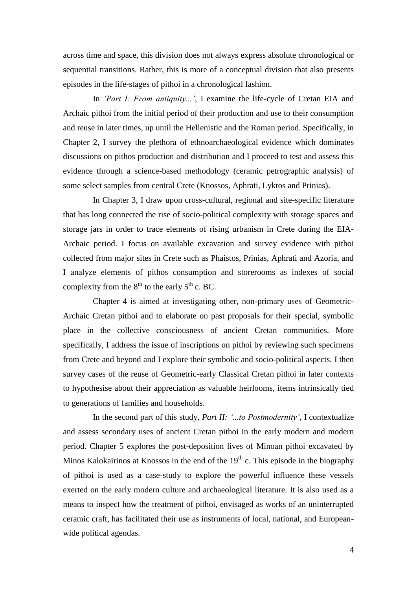across time and space, this division does not always express absolute chronological or sequential transitions. Rather, this is more of a conceptual division that also presents episodes in the life-stages of pithoi in a chronological fashion.

In *'Part I: From antiquity...'*, I examine the life-cycle of Cretan EIA and Archaic pithoi from the initial period of their production and use to their consumption and reuse in later times, up until the Hellenistic and the Roman period. Specifically, in Chapter 2, I survey the plethora of ethnoarchaeological evidence which dominates discussions on pithos production and distribution and I proceed to test and assess this evidence through a science-based methodology (ceramic petrographic analysis) of some select samples from central Crete (Knossos, Aphrati, Lyktos and Prinias).

In Chapter 3, I draw upon cross-cultural, regional and site-specific literature that has long connected the rise of socio-political complexity with storage spaces and storage jars in order to trace elements of rising urbanism in Crete during the EIA-Archaic period. I focus on available excavation and survey evidence with pithoi collected from major sites in Crete such as Phaistos, Prinias, Aphrati and Azoria, and I analyze elements of pithos consumption and storerooms as indexes of social complexity from the  $8<sup>th</sup>$  to the early  $5<sup>th</sup>$  c. BC.

Chapter 4 is aimed at investigating other, non-primary uses of Geometric-Archaic Cretan pithoi and to elaborate on past proposals for their special, symbolic place in the collective consciousness of ancient Cretan communities. More specifically, I address the issue of inscriptions on pithoi by reviewing such specimens from Crete and beyond and I explore their symbolic and socio-political aspects. I then survey cases of the reuse of Geometric-early Classical Cretan pithoi in later contexts to hypothesise about their appreciation as valuable heirlooms, items intrinsically tied to generations of families and households.

In the second part of this study, *Part II: '...to Postmodernity'*, I contextualize and assess secondary uses of ancient Cretan pithoi in the early modern and modern period. Chapter 5 explores the post-deposition lives of Minoan pithoi excavated by Minos Kalokairinos at Knossos in the end of the  $19<sup>th</sup>$  c. This episode in the biography of pithoi is used as a case-study to explore the powerful influence these vessels exerted on the early modern culture and archaeological literature. It is also used as a means to inspect how the treatment of pithoi, envisaged as works of an uninterrupted ceramic craft, has facilitated their use as instruments of local, national, and Europeanwide political agendas.